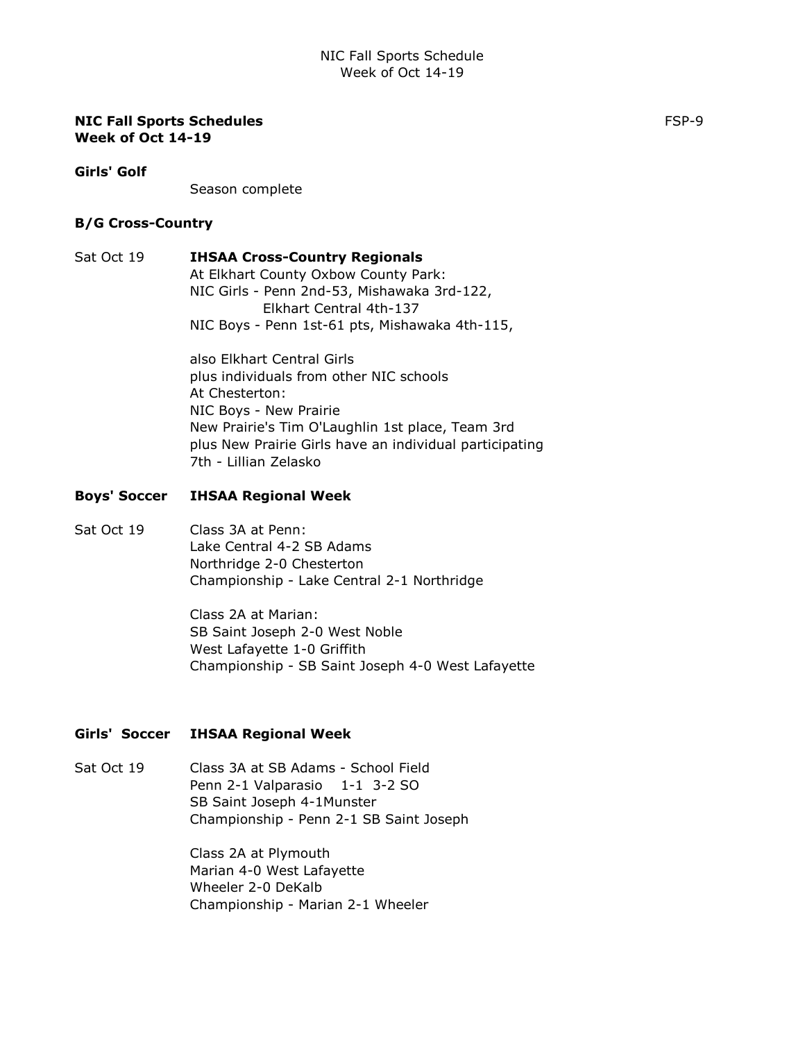#### NIC Fall Sports Schedules Formulation of the state of the state of the state of the state of the state of the state of the state of the state of the state of the state of the state of the state of the state of the state of Week of Oct 14-19

Girls' Golf

Season complete

#### B/G Cross-Country

# Sat Oct 19 **IHSAA Cross-Country Regionals**

At Elkhart County Oxbow County Park: NIC Girls - Penn 2nd-53, Mishawaka 3rd-122, Elkhart Central 4th-137 NIC Boys - Penn 1st-61 pts, Mishawaka 4th-115,

also Elkhart Central Girls plus individuals from other NIC schools At Chesterton: NIC Boys - New Prairie New Prairie's Tim O'Laughlin 1st place, Team 3rd plus New Prairie Girls have an individual participating 7th - Lillian Zelasko

## Boys' Soccer IHSAA Regional Week

# Sat Oct 19 Class 3A at Penn: Lake Central 4-2 SB Adams Northridge 2-0 Chesterton Championship - Lake Central 2-1 Northridge

Class 2A at Marian: SB Saint Joseph 2-0 West Noble West Lafayette 1-0 Griffith Championship - SB Saint Joseph 4-0 West Lafayette

## Girls' Soccer IHSAA Regional Week

Sat Oct 19 Class 3A at SB Adams - School Field Penn 2-1 Valparasio 1-1 3-2 SO SB Saint Joseph 4-1Munster Championship - Penn 2-1 SB Saint Joseph

> Class 2A at Plymouth Marian 4-0 West Lafayette Wheeler 2-0 DeKalb Championship - Marian 2-1 Wheeler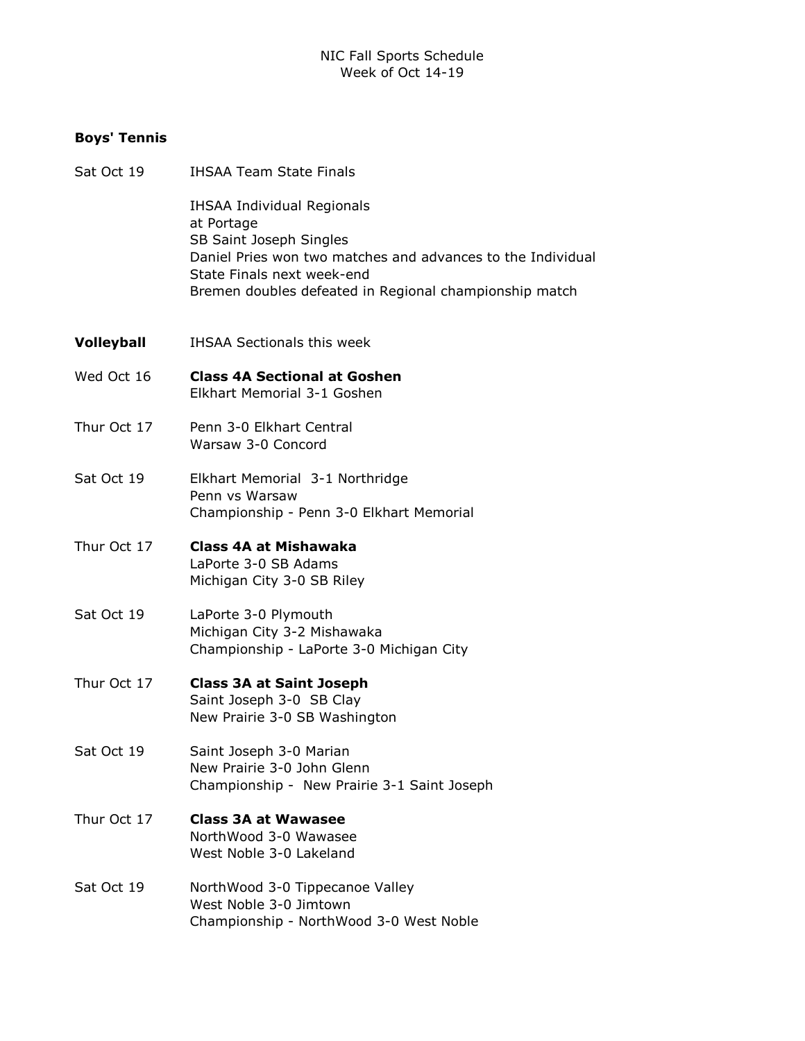# Boys' Tennis

| Sat Oct 19        | <b>IHSAA Team State Finals</b>                                                                                                                                                                                                    |
|-------------------|-----------------------------------------------------------------------------------------------------------------------------------------------------------------------------------------------------------------------------------|
|                   | <b>IHSAA Individual Regionals</b><br>at Portage<br>SB Saint Joseph Singles<br>Daniel Pries won two matches and advances to the Individual<br>State Finals next week-end<br>Bremen doubles defeated in Regional championship match |
| <b>Volleyball</b> | <b>IHSAA Sectionals this week</b>                                                                                                                                                                                                 |
| Wed Oct 16        | <b>Class 4A Sectional at Goshen</b><br>Elkhart Memorial 3-1 Goshen                                                                                                                                                                |
| Thur Oct 17       | Penn 3-0 Elkhart Central<br>Warsaw 3-0 Concord                                                                                                                                                                                    |
| Sat Oct 19        | Elkhart Memorial 3-1 Northridge<br>Penn vs Warsaw<br>Championship - Penn 3-0 Elkhart Memorial                                                                                                                                     |
| Thur Oct 17       | Class 4A at Mishawaka<br>LaPorte 3-0 SB Adams<br>Michigan City 3-0 SB Riley                                                                                                                                                       |
| Sat Oct 19        | LaPorte 3-0 Plymouth<br>Michigan City 3-2 Mishawaka<br>Championship - LaPorte 3-0 Michigan City                                                                                                                                   |
| Thur Oct 17       | <b>Class 3A at Saint Joseph</b><br>Saint Joseph 3-0 SB Clay<br>New Prairie 3-0 SB Washington                                                                                                                                      |
| Sat Oct 19        | Saint Joseph 3-0 Marian<br>New Prairie 3-0 John Glenn<br>Championship - New Prairie 3-1 Saint Joseph                                                                                                                              |
| Thur Oct 17       | <b>Class 3A at Wawasee</b><br>NorthWood 3-0 Wawasee<br>West Noble 3-0 Lakeland                                                                                                                                                    |
| Sat Oct 19        | NorthWood 3-0 Tippecanoe Valley<br>West Noble 3-0 Jimtown<br>Championship - NorthWood 3-0 West Noble                                                                                                                              |